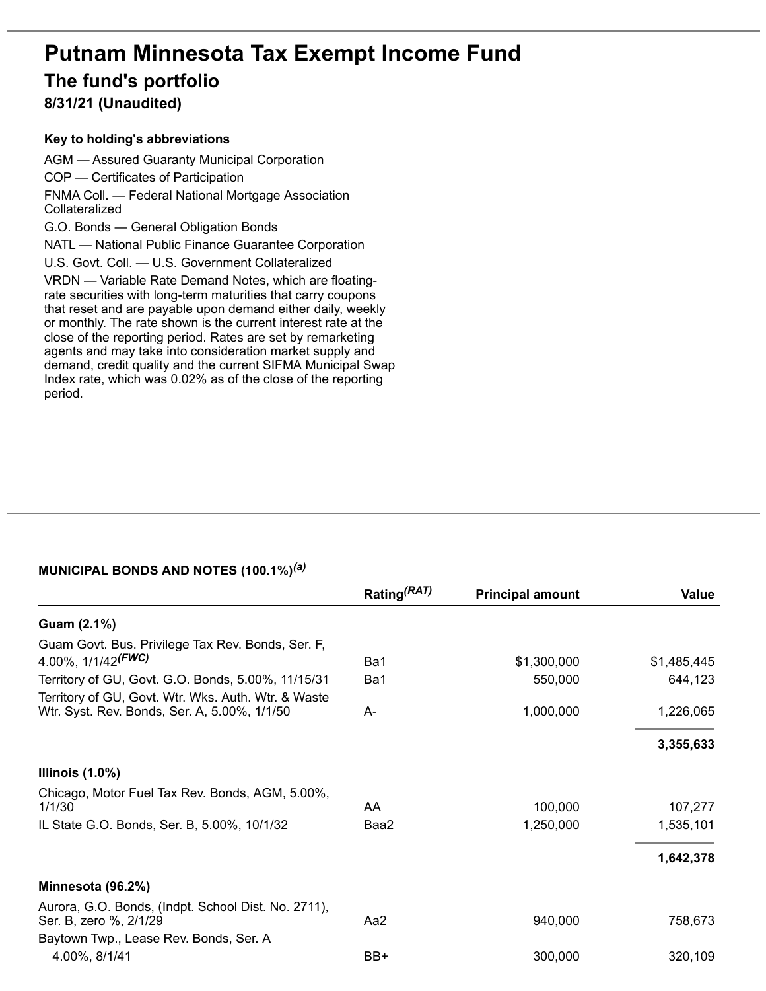# **Putnam Minnesota Tax Exempt Income Fund The fund's portfolio 8/31/21 (Unaudited)**

#### **Key to holding's abbreviations**

AGM — Assured Guaranty Municipal Corporation COP — Certificates of Participation FNMA Coll. — Federal National Mortgage Association Collateralized G.O. Bonds — General Obligation Bonds NATL — National Public Finance Guarantee Corporation U.S. Govt. Coll. — U.S. Government Collateralized VRDN — Variable Rate Demand Notes, which are floatingrate securities with long-term maturities that carry coupons that reset and are payable upon demand either daily, weekly or monthly. The rate shown is the current interest rate at the close of the reporting period. Rates are set by remarketing agents and may take into consideration market supply and demand, credit quality and the current SIFMA Municipal Swap Index rate, which was 0.02% as of the close of the reporting period.

### **MUNICIPAL BONDS AND NOTES (100.1%)** *(a)*

|                                                                                                     | Rating <sup>(RAT)</sup> | <b>Principal amount</b> | Value       |
|-----------------------------------------------------------------------------------------------------|-------------------------|-------------------------|-------------|
| Guam (2.1%)                                                                                         |                         |                         |             |
| Guam Govt. Bus. Privilege Tax Rev. Bonds, Ser. F,<br>4.00%, $1/1/42$ <sup>(FWC)</sup>               | Ba1                     | \$1,300,000             | \$1,485,445 |
| Territory of GU, Govt. G.O. Bonds, 5.00%, 11/15/31                                                  | Ba1                     | 550,000                 | 644,123     |
| Territory of GU, Govt. Wtr. Wks. Auth. Wtr. & Waste<br>Wtr. Syst. Rev. Bonds, Ser. A, 5.00%, 1/1/50 | $A-$                    | 1,000,000               | 1,226,065   |
|                                                                                                     |                         |                         | 3,355,633   |
| Illinois $(1.0\%)$                                                                                  |                         |                         |             |
| Chicago, Motor Fuel Tax Rev. Bonds, AGM, 5.00%,<br>1/1/30                                           | AA                      | 100,000                 | 107,277     |
| IL State G.O. Bonds, Ser. B, 5.00%, 10/1/32                                                         | Baa2                    | 1,250,000               | 1,535,101   |
|                                                                                                     |                         |                         | 1,642,378   |
| Minnesota (96.2%)                                                                                   |                         |                         |             |
| Aurora, G.O. Bonds, (Indpt. School Dist. No. 2711),<br>Ser. B, zero %, 2/1/29                       | Aa2                     | 940,000                 | 758,673     |
| Baytown Twp., Lease Rev. Bonds, Ser. A                                                              |                         |                         |             |
| 4.00%, 8/1/41                                                                                       | BB+                     | 300,000                 | 320,109     |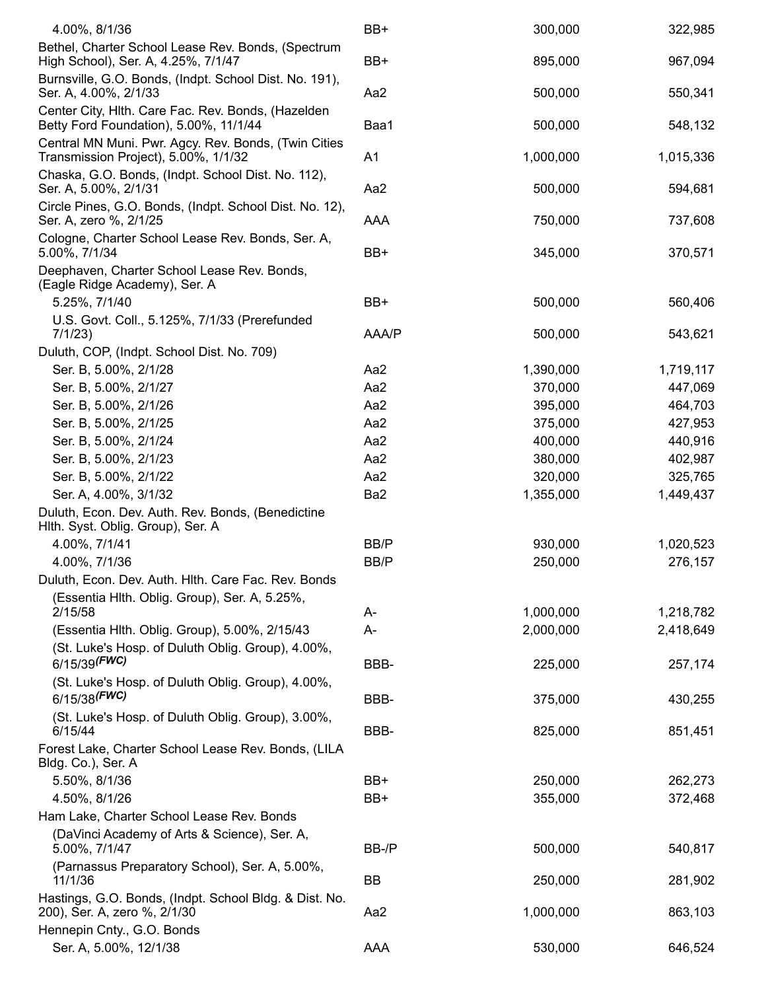| 4.00%, 8/1/36                                                                                | BB+             | 300,000   | 322,985   |
|----------------------------------------------------------------------------------------------|-----------------|-----------|-----------|
| Bethel, Charter School Lease Rev. Bonds, (Spectrum<br>High School), Ser. A, 4.25%, 7/1/47    | BB+             | 895,000   | 967,094   |
| Burnsville, G.O. Bonds, (Indpt. School Dist. No. 191),<br>Ser. A, 4.00%, 2/1/33              | Aa2             | 500,000   | 550,341   |
| Center City, Hlth. Care Fac. Rev. Bonds, (Hazelden<br>Betty Ford Foundation), 5.00%, 11/1/44 | Baa1            | 500,000   | 548,132   |
| Central MN Muni. Pwr. Agcy. Rev. Bonds, (Twin Cities<br>Transmission Project), 5.00%, 1/1/32 | A <sub>1</sub>  | 1,000,000 | 1,015,336 |
| Chaska, G.O. Bonds, (Indpt. School Dist. No. 112),<br>Ser. A, 5.00%, 2/1/31                  | Aa2             | 500,000   | 594,681   |
| Circle Pines, G.O. Bonds, (Indpt. School Dist. No. 12),<br>Ser. A, zero %, 2/1/25            | AAA             | 750,000   | 737,608   |
| Cologne, Charter School Lease Rev. Bonds, Ser. A,<br>5.00%, 7/1/34                           | BB+             | 345,000   | 370,571   |
| Deephaven, Charter School Lease Rev. Bonds,<br>(Eagle Ridge Academy), Ser. A                 |                 |           |           |
| 5.25%, 7/1/40                                                                                | BB+             | 500,000   | 560,406   |
| U.S. Govt. Coll., 5.125%, 7/1/33 (Prerefunded<br>7/1/23)                                     | AAA/P           | 500,000   | 543,621   |
| Duluth, COP, (Indpt. School Dist. No. 709)                                                   |                 |           |           |
| Ser. B, 5.00%, 2/1/28                                                                        | Aa2             | 1,390,000 | 1,719,117 |
| Ser. B, 5.00%, 2/1/27                                                                        | Aa2             | 370,000   | 447,069   |
| Ser. B, 5.00%, 2/1/26                                                                        | Aa2             | 395,000   | 464,703   |
| Ser. B, 5.00%, 2/1/25                                                                        | Aa2             | 375,000   | 427,953   |
| Ser. B, 5.00%, 2/1/24                                                                        | Aa2             | 400,000   | 440,916   |
| Ser. B, 5.00%, 2/1/23                                                                        | Aa2             | 380,000   | 402,987   |
| Ser. B, 5.00%, 2/1/22                                                                        | Aa2             | 320,000   | 325,765   |
| Ser. A, 4.00%, 3/1/32                                                                        | Ba <sub>2</sub> | 1,355,000 | 1,449,437 |
| Duluth, Econ. Dev. Auth. Rev. Bonds, (Benedictine<br>Hith. Syst. Oblig. Group), Ser. A       |                 |           |           |
| 4.00%, 7/1/41                                                                                | BB/P            | 930,000   | 1,020,523 |
| 4.00%, 7/1/36                                                                                | BB/P            | 250,000   | 276,157   |
| Duluth, Econ. Dev. Auth. Hith. Care Fac. Rev. Bonds                                          |                 |           |           |
| (Essentia Hlth. Oblig. Group), Ser. A, 5.25%,<br>2/15/58                                     | А-              | 1,000,000 | 1,218,782 |
| (Essentia Hlth. Oblig. Group), 5.00%, 2/15/43                                                | А-              | 2,000,000 | 2,418,649 |
| (St. Luke's Hosp. of Duluth Oblig. Group), 4.00%,<br>$6/15/39$ <sup>(FWC)</sup>              | BBB-            | 225,000   | 257,174   |
| (St. Luke's Hosp. of Duluth Oblig. Group), 4.00%,                                            |                 |           |           |
| $6/15/38$ <sup>(FWC)</sup>                                                                   | BBB-            | 375,000   | 430,255   |
| (St. Luke's Hosp. of Duluth Oblig. Group), 3.00%,<br>6/15/44                                 | BBB-            | 825,000   | 851,451   |
| Forest Lake, Charter School Lease Rev. Bonds, (LILA<br>Bldg. Co.), Ser. A                    |                 |           |           |
| 5.50%, 8/1/36                                                                                | BB+             | 250,000   | 262,273   |
| 4.50%, 8/1/26                                                                                | BB+             | 355,000   | 372,468   |
| Ham Lake, Charter School Lease Rev. Bonds                                                    |                 |           |           |
| (DaVinci Academy of Arts & Science), Ser. A,<br>5.00%, 7/1/47                                | BB-/P           | 500,000   | 540,817   |
| (Parnassus Preparatory School), Ser. A, 5.00%,<br>11/1/36                                    | BB              | 250,000   | 281,902   |
| Hastings, G.O. Bonds, (Indpt. School Bldg. & Dist. No.<br>200), Ser. A, zero %, 2/1/30       | Aa2             | 1,000,000 | 863,103   |
| Hennepin Cnty., G.O. Bonds                                                                   |                 |           |           |
| Ser. A, 5.00%, 12/1/38                                                                       | AAA             | 530,000   | 646,524   |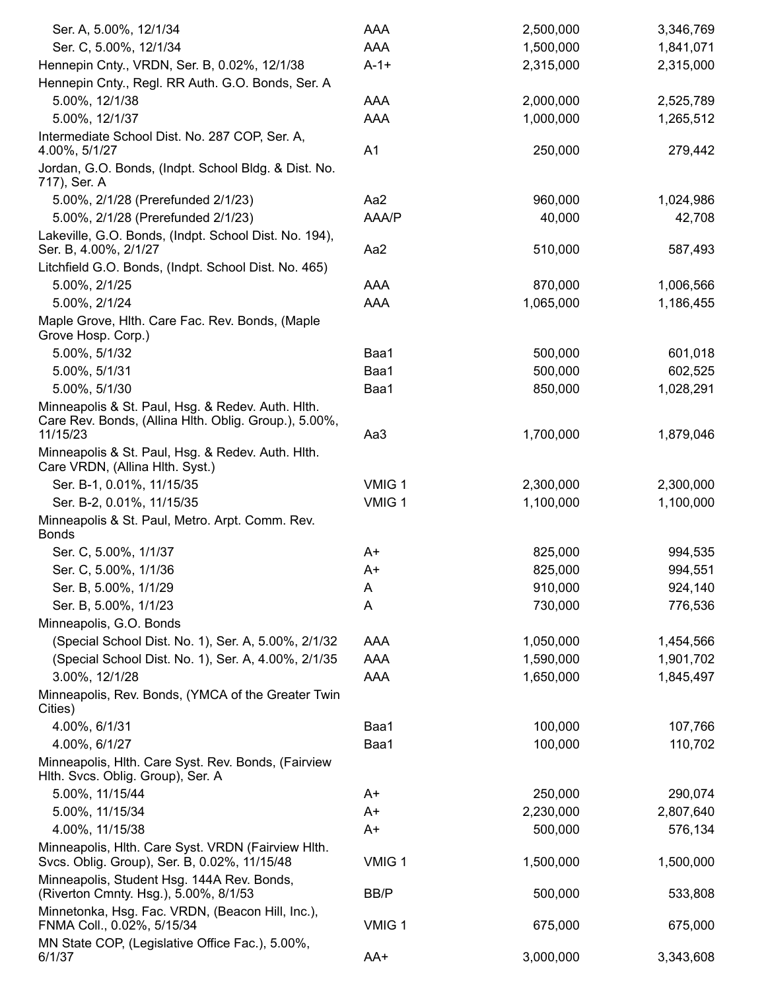| Ser. A, 5.00%, 12/1/34                                                                             | AAA            | 2,500,000 | 3,346,769 |
|----------------------------------------------------------------------------------------------------|----------------|-----------|-----------|
| Ser. C, 5.00%, 12/1/34                                                                             | <b>AAA</b>     | 1,500,000 | 1,841,071 |
| Hennepin Cnty., VRDN, Ser. B, 0.02%, 12/1/38                                                       | $A-1+$         | 2,315,000 | 2,315,000 |
| Hennepin Cnty., Regl. RR Auth. G.O. Bonds, Ser. A                                                  |                |           |           |
| 5.00%, 12/1/38                                                                                     | AAA            | 2,000,000 | 2,525,789 |
| 5.00%, 12/1/37                                                                                     | AAA            | 1,000,000 | 1,265,512 |
| Intermediate School Dist. No. 287 COP, Ser. A,<br>4.00%, 5/1/27                                    | A <sub>1</sub> | 250,000   | 279,442   |
| Jordan, G.O. Bonds, (Indpt. School Bldg. & Dist. No.<br>717), Ser. A                               |                |           |           |
| 5.00%, 2/1/28 (Prerefunded 2/1/23)                                                                 | Aa2            | 960,000   | 1,024,986 |
| 5.00%, 2/1/28 (Prerefunded 2/1/23)                                                                 | AAA/P          | 40,000    | 42,708    |
| Lakeville, G.O. Bonds, (Indpt. School Dist. No. 194),<br>Ser. B, 4.00%, 2/1/27                     | Aa2            | 510,000   | 587,493   |
| Litchfield G.O. Bonds, (Indpt. School Dist. No. 465)                                               |                |           |           |
| 5.00%, 2/1/25                                                                                      | AAA            | 870,000   | 1,006,566 |
| 5.00%, 2/1/24                                                                                      | <b>AAA</b>     | 1,065,000 | 1,186,455 |
| Maple Grove, Hlth. Care Fac. Rev. Bonds, (Maple<br>Grove Hosp. Corp.)                              |                |           |           |
| 5.00%, 5/1/32                                                                                      | Baa1           | 500,000   | 601,018   |
| 5.00%, 5/1/31                                                                                      | Baa1           | 500,000   | 602,525   |
| 5.00%, 5/1/30                                                                                      | Baa1           | 850,000   | 1,028,291 |
| Minneapolis & St. Paul, Hsg. & Redev. Auth. Hlth.                                                  |                |           |           |
| Care Rev. Bonds, (Allina Hlth. Oblig. Group.), 5.00%,                                              |                |           |           |
| 11/15/23                                                                                           | Aa3            | 1,700,000 | 1,879,046 |
| Minneapolis & St. Paul, Hsg. & Redev. Auth. Hlth.<br>Care VRDN, (Allina Hlth. Syst.)               |                |           |           |
| Ser. B-1, 0.01%, 11/15/35                                                                          | VMIG 1         | 2,300,000 | 2,300,000 |
| Ser. B-2, 0.01%, 11/15/35                                                                          | VMIG 1         | 1,100,000 | 1,100,000 |
| Minneapolis & St. Paul, Metro. Arpt. Comm. Rev.<br><b>Bonds</b>                                    |                |           |           |
| Ser. C, 5.00%, 1/1/37                                                                              | $A+$           | 825,000   | 994,535   |
| Ser. C, 5.00%, 1/1/36                                                                              | $A+$           | 825,000   | 994,551   |
| Ser. B, 5.00%, 1/1/29                                                                              | A              | 910,000   | 924,140   |
| Ser. B, 5.00%, 1/1/23                                                                              | A              | 730,000   | 776,536   |
| Minneapolis, G.O. Bonds                                                                            |                |           |           |
| (Special School Dist. No. 1), Ser. A, 5.00%, 2/1/32                                                | AAA            | 1,050,000 | 1,454,566 |
| (Special School Dist. No. 1), Ser. A, 4.00%, 2/1/35                                                | AAA            | 1,590,000 | 1,901,702 |
| 3.00%, 12/1/28                                                                                     | <b>AAA</b>     | 1,650,000 | 1,845,497 |
| Minneapolis, Rev. Bonds, (YMCA of the Greater Twin<br>Cities)                                      |                |           |           |
| 4.00%, 6/1/31                                                                                      | Baa1           | 100,000   | 107,766   |
| 4.00%, 6/1/27                                                                                      | Baa1           | 100,000   | 110,702   |
| Minneapolis, Hlth. Care Syst. Rev. Bonds, (Fairview<br>Hith. Svcs. Oblig. Group), Ser. A           |                |           |           |
| 5.00%, 11/15/44                                                                                    | $A+$           | 250,000   | 290,074   |
| 5.00%, 11/15/34                                                                                    | $A+$           | 2,230,000 | 2,807,640 |
| 4.00%, 11/15/38                                                                                    | $A+$           | 500,000   | 576,134   |
| Minneapolis, Hlth. Care Syst. VRDN (Fairview Hlth.<br>Svcs. Oblig. Group), Ser. B, 0.02%, 11/15/48 | VMIG 1         | 1,500,000 | 1,500,000 |
| Minneapolis, Student Hsg. 144A Rev. Bonds,<br>(Riverton Cmnty. Hsg.), 5.00%, 8/1/53                | BB/P           | 500,000   | 533,808   |
| Minnetonka, Hsg. Fac. VRDN, (Beacon Hill, Inc.),<br>FNMA Coll., 0.02%, 5/15/34                     | VMIG 1         | 675,000   | 675,000   |
| MN State COP, (Legislative Office Fac.), 5.00%,                                                    |                |           |           |
| 6/1/37                                                                                             | AA+            | 3,000,000 | 3,343,608 |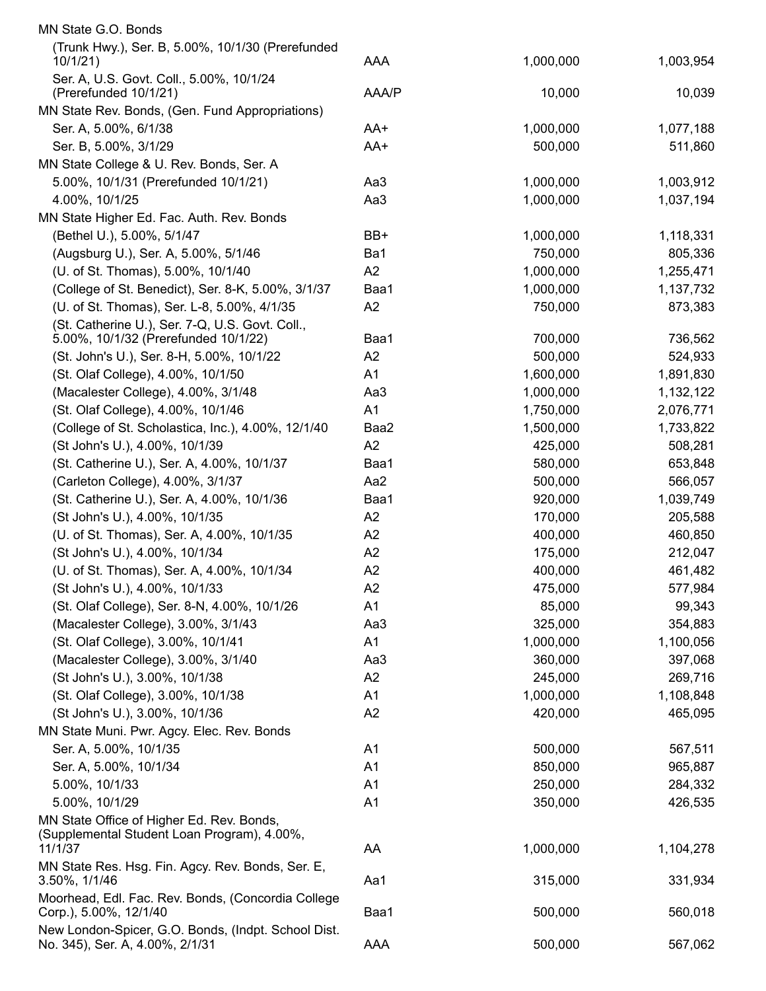| MN State G.O. Bonds                                                                      |                |           |           |
|------------------------------------------------------------------------------------------|----------------|-----------|-----------|
| (Trunk Hwy.), Ser. B, 5.00%, 10/1/30 (Prerefunded<br>10/1/21                             | AAA            | 1,000,000 | 1,003,954 |
| Ser. A, U.S. Govt. Coll., 5.00%, 10/1/24<br>(Prerefunded 10/1/21)                        | AAA/P          | 10,000    | 10,039    |
| MN State Rev. Bonds, (Gen. Fund Appropriations)                                          |                |           |           |
| Ser. A, 5.00%, 6/1/38                                                                    | AA+            | 1,000,000 | 1,077,188 |
| Ser. B, 5.00%, 3/1/29                                                                    | AA+            | 500,000   | 511,860   |
| MN State College & U. Rev. Bonds, Ser. A                                                 |                |           |           |
| 5.00%, 10/1/31 (Prerefunded 10/1/21)                                                     | Aa3            | 1,000,000 | 1,003,912 |
| 4.00%, 10/1/25                                                                           | Aa3            | 1,000,000 | 1,037,194 |
| MN State Higher Ed. Fac. Auth. Rev. Bonds                                                |                |           |           |
| (Bethel U.), 5.00%, 5/1/47                                                               | BB+            | 1,000,000 | 1,118,331 |
| (Augsburg U.), Ser. A, 5.00%, 5/1/46                                                     | Ba1            | 750,000   | 805,336   |
| (U. of St. Thomas), 5.00%, 10/1/40                                                       | A <sub>2</sub> | 1,000,000 | 1,255,471 |
| (College of St. Benedict), Ser. 8-K, 5.00%, 3/1/37                                       | Baa1           | 1,000,000 | 1,137,732 |
| (U. of St. Thomas), Ser. L-8, 5.00%, 4/1/35                                              | A2             | 750,000   | 873,383   |
| (St. Catherine U.), Ser. 7-Q, U.S. Govt. Coll.,                                          |                |           |           |
| 5.00%, 10/1/32 (Prerefunded 10/1/22)                                                     | Baa1           | 700,000   | 736,562   |
| (St. John's U.), Ser. 8-H, 5.00%, 10/1/22                                                | A2             | 500,000   | 524,933   |
| (St. Olaf College), 4.00%, 10/1/50                                                       | A1             | 1,600,000 | 1,891,830 |
| (Macalester College), 4.00%, 3/1/48                                                      | Aa3            | 1,000,000 | 1,132,122 |
| (St. Olaf College), 4.00%, 10/1/46                                                       | A1             | 1,750,000 | 2,076,771 |
| (College of St. Scholastica, Inc.), 4.00%, 12/1/40                                       | Baa2           | 1,500,000 | 1,733,822 |
| (St John's U.), 4.00%, 10/1/39                                                           | A2             | 425,000   | 508,281   |
| (St. Catherine U.), Ser. A, 4.00%, 10/1/37                                               | Baa1           | 580,000   | 653,848   |
| (Carleton College), 4.00%, 3/1/37                                                        | Aa2            | 500,000   | 566,057   |
| (St. Catherine U.), Ser. A, 4.00%, 10/1/36                                               | Baa1           | 920,000   | 1,039,749 |
| (St John's U.), 4.00%, 10/1/35                                                           | A2             | 170,000   | 205,588   |
| (U. of St. Thomas), Ser. A, 4.00%, 10/1/35                                               | A <sub>2</sub> | 400,000   | 460,850   |
| (St John's U.), 4.00%, 10/1/34                                                           | A <sub>2</sub> | 175,000   | 212,047   |
| (U. of St. Thomas), Ser. A, 4.00%, 10/1/34                                               | A <sub>2</sub> | 400,000   | 461,482   |
| (St John's U.), 4.00%, 10/1/33                                                           | A2             | 475,000   | 577,984   |
| (St. Olaf College), Ser. 8-N, 4.00%, 10/1/26                                             | A1             | 85,000    | 99,343    |
| (Macalester College), 3.00%, 3/1/43                                                      | Aa3            | 325,000   | 354,883   |
| (St. Olaf College), 3.00%, 10/1/41                                                       | A1             | 1,000,000 | 1,100,056 |
| (Macalester College), 3.00%, 3/1/40                                                      | Aa3            | 360,000   | 397,068   |
| (St John's U.), 3.00%, 10/1/38                                                           | A <sub>2</sub> | 245,000   | 269,716   |
| (St. Olaf College), 3.00%, 10/1/38                                                       | A1             | 1,000,000 | 1,108,848 |
| (St John's U.), 3.00%, 10/1/36                                                           | A <sub>2</sub> | 420,000   | 465,095   |
| MN State Muni. Pwr. Agcy. Elec. Rev. Bonds                                               |                |           |           |
| Ser. A, 5.00%, 10/1/35                                                                   | A <sub>1</sub> | 500,000   | 567,511   |
| Ser. A, 5.00%, 10/1/34                                                                   | A <sub>1</sub> | 850,000   | 965,887   |
| 5.00%, 10/1/33                                                                           | A <sub>1</sub> | 250,000   | 284,332   |
| 5.00%, 10/1/29                                                                           | A <sub>1</sub> | 350,000   | 426,535   |
| MN State Office of Higher Ed. Rev. Bonds,<br>(Supplemental Student Loan Program), 4.00%, |                |           |           |
| 11/1/37<br>MN State Res. Hsg. Fin. Agcy. Rev. Bonds, Ser. E,                             | AA             | 1,000,000 | 1,104,278 |
| 3.50%, 1/1/46<br>Moorhead, Edl. Fac. Rev. Bonds, (Concordia College                      | Aa1            | 315,000   | 331,934   |
| Corp.), 5.00%, 12/1/40                                                                   | Baa1           | 500,000   | 560,018   |
| New London-Spicer, G.O. Bonds, (Indpt. School Dist.<br>No. 345), Ser. A, 4.00%, 2/1/31   | <b>AAA</b>     | 500,000   | 567,062   |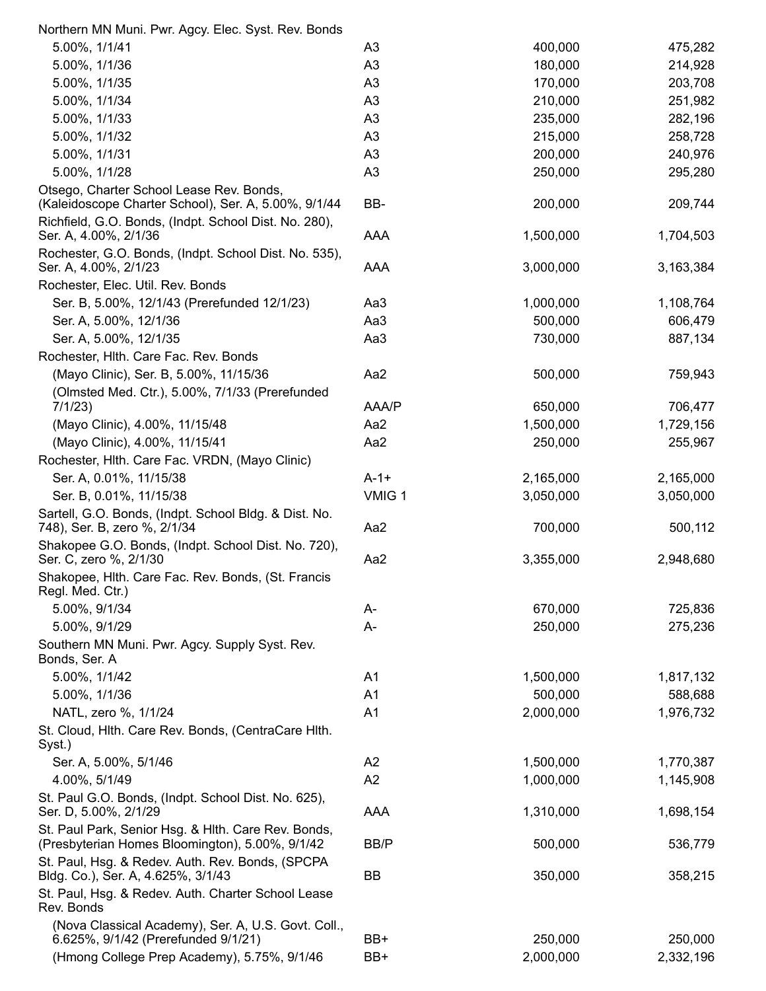| Northern MN Muni. Pwr. Agcy. Elec. Syst. Rev. Bonds                                                    |                |           |           |
|--------------------------------------------------------------------------------------------------------|----------------|-----------|-----------|
| 5.00%, 1/1/41                                                                                          | A <sub>3</sub> | 400,000   | 475,282   |
| 5.00%, 1/1/36                                                                                          | A <sub>3</sub> | 180,000   | 214,928   |
| 5.00%, 1/1/35                                                                                          | A <sub>3</sub> | 170,000   | 203,708   |
| 5.00%, 1/1/34                                                                                          | A <sub>3</sub> | 210,000   | 251,982   |
| 5.00%, 1/1/33                                                                                          | A3             | 235,000   | 282,196   |
| 5.00%, 1/1/32                                                                                          | A <sub>3</sub> | 215,000   | 258,728   |
| 5.00%, 1/1/31                                                                                          | A <sub>3</sub> | 200,000   | 240,976   |
| 5.00%, 1/1/28                                                                                          | A <sub>3</sub> | 250,000   | 295,280   |
| Otsego, Charter School Lease Rev. Bonds,<br>(Kaleidoscope Charter School), Ser. A, 5.00%, 9/1/44       | BB-            | 200,000   | 209,744   |
| Richfield, G.O. Bonds, (Indpt. School Dist. No. 280),<br>Ser. A, 4.00%, 2/1/36                         | AAA            | 1,500,000 | 1,704,503 |
| Rochester, G.O. Bonds, (Indpt. School Dist. No. 535),<br>Ser. A, 4.00%, 2/1/23                         | AAA            | 3,000,000 | 3,163,384 |
| Rochester, Elec. Util. Rev. Bonds                                                                      |                |           |           |
| Ser. B, 5.00%, 12/1/43 (Prerefunded 12/1/23)                                                           | Aa3            | 1,000,000 | 1,108,764 |
| Ser. A, 5.00%, 12/1/36                                                                                 | Aa3            | 500,000   | 606,479   |
| Ser. A, 5.00%, 12/1/35                                                                                 | Aa3            | 730,000   | 887,134   |
| Rochester, Hlth. Care Fac. Rev. Bonds                                                                  |                |           |           |
| (Mayo Clinic), Ser. B, 5.00%, 11/15/36                                                                 | Aa2            | 500,000   | 759,943   |
| (Olmsted Med. Ctr.), 5.00%, 7/1/33 (Prerefunded                                                        |                |           |           |
| 7/1/23)                                                                                                | AAA/P          | 650,000   | 706,477   |
| (Mayo Clinic), 4.00%, 11/15/48                                                                         | Aa2            | 1,500,000 | 1,729,156 |
| (Mayo Clinic), 4.00%, 11/15/41                                                                         | Aa2            | 250,000   | 255,967   |
| Rochester, Hlth. Care Fac. VRDN, (Mayo Clinic)<br>Ser. A, 0.01%, 11/15/38                              | $A-1+$         | 2,165,000 | 2,165,000 |
| Ser. B, 0.01%, 11/15/38                                                                                | VMIG 1         | 3,050,000 | 3,050,000 |
| Sartell, G.O. Bonds, (Indpt. School Bldg. & Dist. No.                                                  |                |           |           |
| 748), Ser. B, zero %, 2/1/34                                                                           | Aa2            | 700,000   | 500,112   |
| Shakopee G.O. Bonds, (Indpt. School Dist. No. 720),<br>Ser. C, zero %, 2/1/30                          | Aa2            | 3,355,000 | 2,948,680 |
| Shakopee, Hith. Care Fac. Rev. Bonds, (St. Francis<br>Regl. Med. Ctr.)                                 |                |           |           |
| 5.00%, 9/1/34                                                                                          | A-             | 670,000   | 725,836   |
| 5.00%, 9/1/29                                                                                          | $A -$          | 250,000   | 275,236   |
| Southern MN Muni. Pwr. Agcy. Supply Syst. Rev.<br>Bonds, Ser. A                                        |                |           |           |
| 5.00%, 1/1/42                                                                                          | A <sub>1</sub> | 1,500,000 | 1,817,132 |
| 5.00%, 1/1/36                                                                                          | A <sub>1</sub> | 500,000   | 588,688   |
| NATL, zero %, 1/1/24                                                                                   | A <sub>1</sub> | 2,000,000 | 1,976,732 |
| St. Cloud, Hlth. Care Rev. Bonds, (CentraCare Hlth.<br>Syst.)                                          |                |           |           |
| Ser. A, 5.00%, 5/1/46                                                                                  | A2             | 1,500,000 | 1,770,387 |
| 4.00%, 5/1/49                                                                                          | A2             | 1,000,000 | 1,145,908 |
| St. Paul G.O. Bonds, (Indpt. School Dist. No. 625),<br>Ser. D, 5.00%, 2/1/29                           | AAA            | 1,310,000 | 1,698,154 |
| St. Paul Park, Senior Hsg. & Hlth. Care Rev. Bonds,<br>(Presbyterian Homes Bloomington), 5.00%, 9/1/42 | BB/P           | 500,000   | 536,779   |
| St. Paul, Hsg. & Redev. Auth. Rev. Bonds, (SPCPA<br>Bldg. Co.), Ser. A, 4.625%, 3/1/43                 | BB             | 350,000   | 358,215   |
| St. Paul, Hsg. & Redev. Auth. Charter School Lease<br>Rev. Bonds                                       |                |           |           |
| (Nova Classical Academy), Ser. A, U.S. Govt. Coll.,                                                    |                |           |           |
| 6.625%, 9/1/42 (Prerefunded 9/1/21)                                                                    | BB+            | 250,000   | 250,000   |
| (Hmong College Prep Academy), 5.75%, 9/1/46                                                            | BB+            | 2,000,000 | 2,332,196 |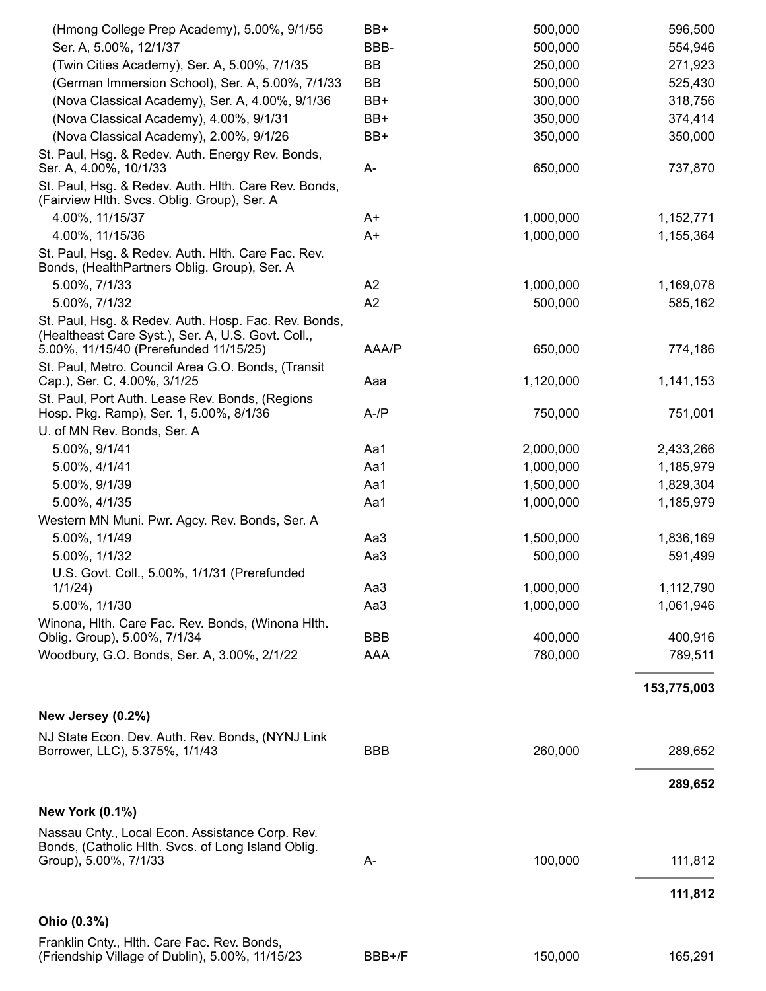| (Hmong College Prep Academy), 5.00%, 9/1/55                                                                | BB+        | 500,000   | 596,500     |
|------------------------------------------------------------------------------------------------------------|------------|-----------|-------------|
| Ser. A, 5.00%, 12/1/37                                                                                     | BBB-       | 500,000   | 554,946     |
| (Twin Cities Academy), Ser. A, 5.00%, 7/1/35                                                               | BB         | 250,000   | 271,923     |
| (German Immersion School), Ser. A, 5.00%, 7/1/33                                                           | BB         | 500,000   | 525,430     |
| (Nova Classical Academy), Ser. A, 4.00%, 9/1/36                                                            | BB+        | 300,000   | 318,756     |
| (Nova Classical Academy), 4.00%, 9/1/31                                                                    | BB+        | 350,000   | 374,414     |
| (Nova Classical Academy), 2.00%, 9/1/26                                                                    | BB+        | 350,000   | 350,000     |
| St. Paul, Hsg. & Redev. Auth. Energy Rev. Bonds,<br>Ser. A, 4.00%, 10/1/33                                 | A-         | 650,000   | 737,870     |
| St. Paul, Hsg. & Redev. Auth. Hith. Care Rev. Bonds,<br>(Fairview Hlth. Svcs. Oblig. Group), Ser. A        |            |           |             |
| 4.00%, 11/15/37                                                                                            | A+         | 1,000,000 | 1,152,771   |
| 4.00%, 11/15/36                                                                                            | A+         | 1,000,000 | 1,155,364   |
| St. Paul, Hsg. & Redev. Auth. Hith. Care Fac. Rev.<br>Bonds, (HealthPartners Oblig. Group), Ser. A         |            |           |             |
| 5.00%, 7/1/33                                                                                              | A2         | 1,000,000 | 1,169,078   |
| 5.00%, 7/1/32                                                                                              | A2         | 500,000   | 585,162     |
| St. Paul, Hsg. & Redev. Auth. Hosp. Fac. Rev. Bonds,<br>(Healtheast Care Syst.), Ser. A, U.S. Govt. Coll., |            |           |             |
| 5.00%, 11/15/40 (Prerefunded 11/15/25)                                                                     | AAA/P      | 650,000   | 774,186     |
| St. Paul, Metro. Council Area G.O. Bonds, (Transit<br>Cap.), Ser. C, 4.00%, 3/1/25                         | Aaa        | 1,120,000 | 1,141,153   |
| St. Paul, Port Auth. Lease Rev. Bonds, (Regions<br>Hosp. Pkg. Ramp), Ser. 1, 5.00%, 8/1/36                 | $A - /P$   | 750,000   | 751,001     |
| U. of MN Rev. Bonds, Ser. A                                                                                |            |           |             |
| 5.00%, 9/1/41                                                                                              | Aa1        | 2,000,000 | 2,433,266   |
| 5.00%, 4/1/41                                                                                              | Aa1        | 1,000,000 | 1,185,979   |
| 5.00%, 9/1/39                                                                                              | Aa1        | 1,500,000 | 1,829,304   |
| 5.00%, 4/1/35                                                                                              | Aa1        | 1,000,000 | 1,185,979   |
| Western MN Muni. Pwr. Agcy. Rev. Bonds, Ser. A                                                             |            |           |             |
| 5.00%, 1/1/49                                                                                              | Aa3        | 1,500,000 | 1,836,169   |
| 5.00%, 1/1/32                                                                                              | Aa3        | 500,000   | 591,499     |
| U.S. Govt. Coll., 5.00%, 1/1/31 (Prerefunded                                                               |            |           |             |
| 1/1/24)                                                                                                    | Aa3        | 1,000,000 | 1,112,790   |
| 5.00%, 1/1/30                                                                                              | Aa3        | 1,000,000 | 1,061,946   |
| Winona, Hlth. Care Fac. Rev. Bonds, (Winona Hlth.                                                          |            |           |             |
| Oblig. Group), 5.00%, 7/1/34                                                                               | <b>BBB</b> | 400,000   | 400,916     |
| Woodbury, G.O. Bonds, Ser. A, 3.00%, 2/1/22                                                                | AAA        | 780,000   | 789,511     |
|                                                                                                            |            |           | 153,775,003 |
| New Jersey (0.2%)                                                                                          |            |           |             |
| NJ State Econ. Dev. Auth. Rev. Bonds, (NYNJ Link<br>Borrower, LLC), 5.375%, 1/1/43                         | <b>BBB</b> | 260,000   | 289,652     |
|                                                                                                            |            |           | 289,652     |
| <b>New York (0.1%)</b>                                                                                     |            |           |             |
| Nassau Cnty., Local Econ. Assistance Corp. Rev.                                                            |            |           |             |
| Bonds, (Catholic Hlth. Svcs. of Long Island Oblig.                                                         |            |           |             |
| Group), 5.00%, 7/1/33                                                                                      | A-         | 100,000   | 111,812     |
|                                                                                                            |            |           | 111,812     |
| Ohio (0.3%)                                                                                                |            |           |             |
| Franklin Cnty., Hith. Care Fac. Rev. Bonds,<br>(Friendship Village of Dublin), 5.00%, 11/15/23             | BBB+/F     | 150,000   | 165,291     |
|                                                                                                            |            |           |             |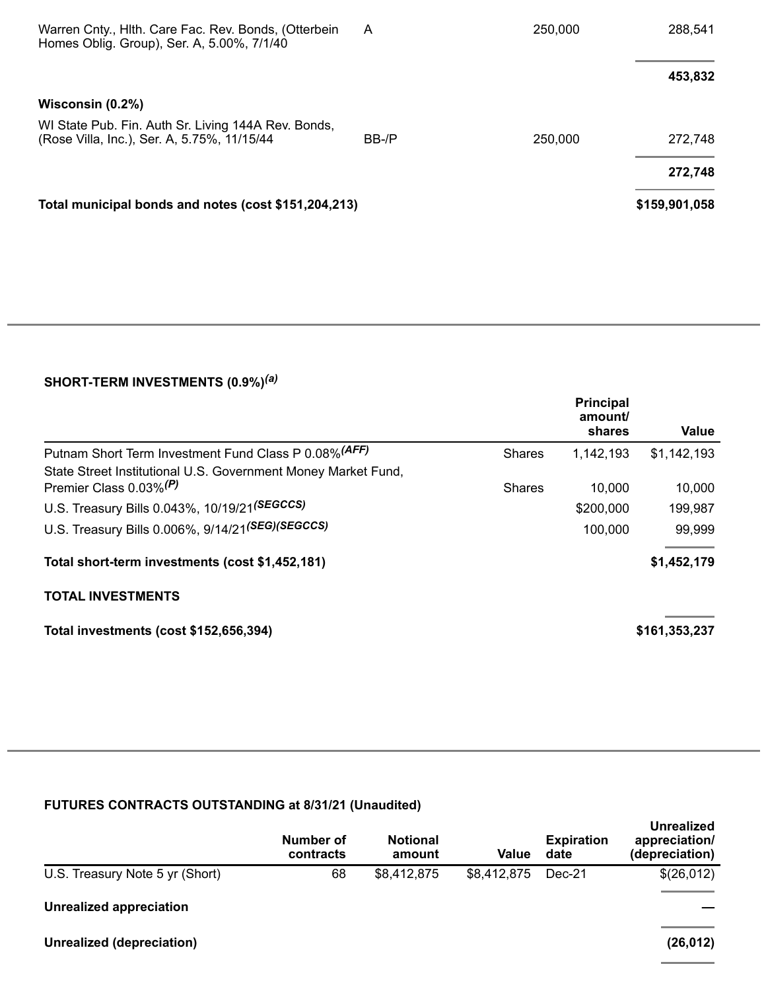| Warren Cnty., Hith. Care Fac. Rev. Bonds, (Otterbein<br>Homes Oblig. Group), Ser. A, 5.00%, 7/1/40 | A     | 250,000       | 288,541 |
|----------------------------------------------------------------------------------------------------|-------|---------------|---------|
|                                                                                                    |       |               | 453,832 |
| Wisconsin $(0.2\%)$                                                                                |       |               |         |
| WI State Pub. Fin. Auth Sr. Living 144A Rev. Bonds,<br>(Rose Villa, Inc.), Ser. A, 5.75%, 11/15/44 | BB-/P | 250,000       | 272,748 |
|                                                                                                    |       |               | 272,748 |
| Total municipal bonds and notes (cost \$151,204,213)                                               |       | \$159,901,058 |         |

#### **SHORT-TERM INVESTMENTS (0.9%)** *(a)*

|                                                               |               | <b>Principal</b><br>amount/<br>shares | Value         |
|---------------------------------------------------------------|---------------|---------------------------------------|---------------|
| Putnam Short Term Investment Fund Class P 0.08% (AFF)         | <b>Shares</b> | 1,142,193                             | \$1,142,193   |
| State Street Institutional U.S. Government Money Market Fund, |               |                                       |               |
| Premier Class 0.03% <sup>(P)</sup>                            | <b>Shares</b> | 10,000                                | 10,000        |
| U.S. Treasury Bills 0.043%, 10/19/21(SEGCCS)                  |               | \$200,000                             | 199,987       |
| U.S. Treasury Bills 0.006%, 9/14/21(SEG)(SEGCCS)              |               | 100,000                               | 99,999        |
| Total short-term investments (cost \$1,452,181)               |               |                                       | \$1,452,179   |
| <b>TOTAL INVESTMENTS</b>                                      |               |                                       |               |
| Total investments (cost \$152,656,394)                        |               |                                       | \$161,353,237 |

### **FUTURES CONTRACTS OUTSTANDING at 8/31/21 (Unaudited)**

|                                 | Number of<br>contracts | <b>Notional</b><br>amount | Value       | <b>Expiration</b><br>date | <b>Unrealized</b><br>appreciation/<br>(depreciation) |
|---------------------------------|------------------------|---------------------------|-------------|---------------------------|------------------------------------------------------|
| U.S. Treasury Note 5 yr (Short) | 68                     | \$8,412,875               | \$8,412,875 | Dec-21                    | \$(26,012)                                           |
| <b>Unrealized appreciation</b>  |                        |                           |             |                           |                                                      |
| Unrealized (depreciation)       |                        |                           |             |                           | (26, 012)                                            |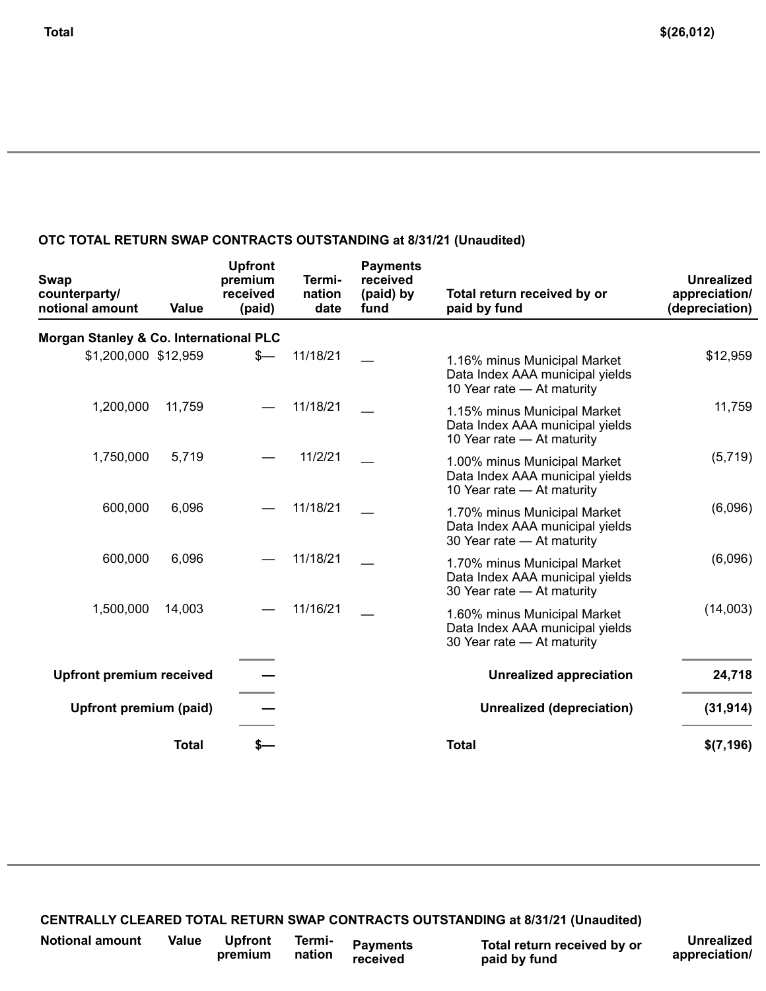### **OTC TOTAL RETURN SWAP CONTRACTS OUTSTANDING at 8/31/21 (Unaudited)**

| <b>Swap</b><br>counterparty/<br>notional amount | Value        | <b>Upfront</b><br>premium<br>received<br>(paid) | Termi-<br>nation<br>date | <b>Payments</b><br>received<br>(paid) by<br>fund | Total return received by or<br>paid by fund                                                   | <b>Unrealized</b><br>appreciation/<br>(depreciation) |
|-------------------------------------------------|--------------|-------------------------------------------------|--------------------------|--------------------------------------------------|-----------------------------------------------------------------------------------------------|------------------------------------------------------|
| Morgan Stanley & Co. International PLC          |              |                                                 |                          |                                                  |                                                                                               |                                                      |
| \$1,200,000 \$12,959                            |              | $s-$                                            | 11/18/21                 |                                                  | 1.16% minus Municipal Market<br>Data Index AAA municipal yields<br>10 Year rate - At maturity | \$12,959                                             |
| 1,200,000                                       | 11,759       |                                                 | 11/18/21                 |                                                  | 1.15% minus Municipal Market<br>Data Index AAA municipal yields<br>10 Year rate - At maturity | 11,759                                               |
| 1,750,000                                       | 5,719        |                                                 | 11/2/21                  |                                                  | 1.00% minus Municipal Market<br>Data Index AAA municipal yields<br>10 Year rate - At maturity | (5, 719)                                             |
| 600,000                                         | 6,096        |                                                 | 11/18/21                 |                                                  | 1.70% minus Municipal Market<br>Data Index AAA municipal yields<br>30 Year rate - At maturity | (6,096)                                              |
| 600,000                                         | 6,096        |                                                 | 11/18/21                 |                                                  | 1.70% minus Municipal Market<br>Data Index AAA municipal yields<br>30 Year rate - At maturity | (6,096)                                              |
| 1,500,000                                       | 14,003       |                                                 | 11/16/21                 |                                                  | 1.60% minus Municipal Market<br>Data Index AAA municipal yields<br>30 Year rate - At maturity | (14,003)                                             |
| <b>Upfront premium received</b>                 |              |                                                 |                          |                                                  | <b>Unrealized appreciation</b>                                                                | 24,718                                               |
| <b>Upfront premium (paid)</b>                   |              |                                                 |                          |                                                  | <b>Unrealized (depreciation)</b>                                                              | (31, 914)                                            |
|                                                 | <b>Total</b> |                                                 |                          |                                                  | <b>Total</b>                                                                                  | \$(7,196)                                            |

**CENTRALLY CLEARED TOTAL RETURN SWAP CONTRACTS OUTSTANDING at 8/31/21 (Unaudited)**

| <b>Notional amount</b> | Value | <b>Upfront</b><br>premium | Termi-<br>nation | <b>Payments</b><br>received | Total return received by or<br>paid by fund | Unrealized<br>appreciation/ |
|------------------------|-------|---------------------------|------------------|-----------------------------|---------------------------------------------|-----------------------------|
|------------------------|-------|---------------------------|------------------|-----------------------------|---------------------------------------------|-----------------------------|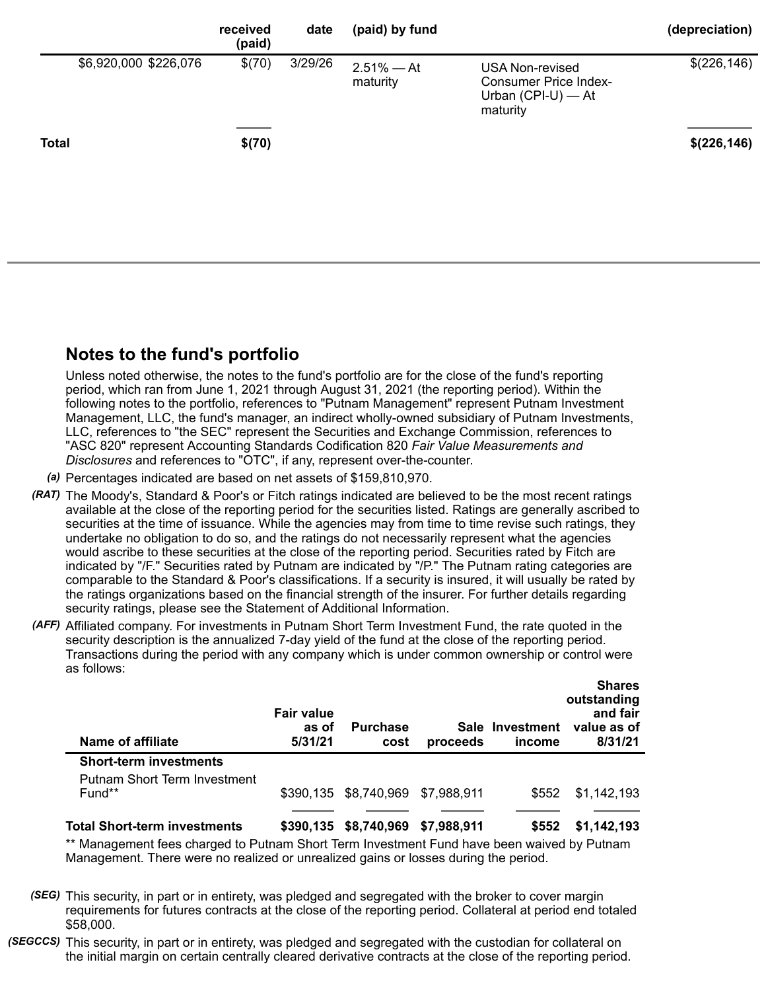|              |                       | received<br>(paid) | date    | (paid) by fund            |                                                                                     | (depreciation) |
|--------------|-----------------------|--------------------|---------|---------------------------|-------------------------------------------------------------------------------------|----------------|
|              | \$6,920,000 \$226,076 | \$(70)             | 3/29/26 | $2.51\% - At$<br>maturity | <b>USA Non-revised</b><br>Consumer Price Index-<br>Urban $(CPI-U)$ - At<br>maturity | \$(226, 146)   |
| <b>Total</b> |                       | \$(70)             |         |                           |                                                                                     | \$(226,146)    |

### **Notes to the fund's portfolio**

Unless noted otherwise, the notes to the fund's portfolio are for the close of the fund's reporting period, which ran from June 1, 2021 through August 31, 2021 (the reporting period). Within the following notes to the portfolio, references to "Putnam Management" represent Putnam Investment Management, LLC, the fund's manager, an indirect wholly-owned subsidiary of Putnam Investments, LLC, references to "the SEC" represent the Securities and Exchange Commission, references to "ASC 820" represent Accounting Standards Codification 820 *Fair Value Measurements and Disclosures* and references to "OTC", if any, represent over-the-counter.

*(a)* Percentages indicated are based on net assets of \$159,810,970.

*(RAT)* The Moody's, Standard & Poor's or Fitch ratings indicated are believed to be the most recent ratings available at the close of the reporting period for the securities listed. Ratings are generally ascribed to securities at the time of issuance. While the agencies may from time to time revise such ratings, they undertake no obligation to do so, and the ratings do not necessarily represent what the agencies would ascribe to these securities at the close of the reporting period. Securities rated by Fitch are indicated by "/F." Securities rated by Putnam are indicated by "/P." The Putnam rating categories are comparable to the Standard & Poor's classifications. If a security is insured, it will usually be rated by the ratings organizations based on the financial strength of the insurer. For further details regarding security ratings, please see the Statement of Additional Information.

*(AFF)* Affiliated company. For investments in Putnam Short Term Investment Fund, the rate quoted in the security description is the annualized 7-day yield of the fund at the close of the reporting period. Transactions during the period with any company which is under common ownership or control were as follows:

| <b>Fair value</b><br>as of<br>5/31/21 | <b>Purchase</b><br>cost | proceeds | income                                                                 | <b>Shares</b><br>outstanding<br>and fair<br>value as of<br>8/31/21 |
|---------------------------------------|-------------------------|----------|------------------------------------------------------------------------|--------------------------------------------------------------------|
|                                       |                         |          |                                                                        |                                                                    |
|                                       |                         |          |                                                                        |                                                                    |
|                                       |                         |          |                                                                        | \$1,142,193                                                        |
|                                       |                         |          | \$552                                                                  | \$1,142,193                                                        |
|                                       |                         |          | \$390,135 \$8,740,969 \$7,988,911<br>\$390,135 \$8,740,969 \$7,988,911 | Sale Investment<br>\$552                                           |

Management fees charged to Putnam Short Term Investment Fund have been waived by Putnam Management. There were no realized or unrealized gains or losses during the period.

- *(SEG)* This security, in part or in entirety, was pledged and segregated with the broker to cover margin requirements for futures contracts at the close of the reporting period. Collateral at period end totaled \$58,000.
- *(SEGCCS)* This security, in part or in entirety, was pledged and segregated with the custodian for collateral on the initial margin on certain centrally cleared derivative contracts at the close of the reporting period.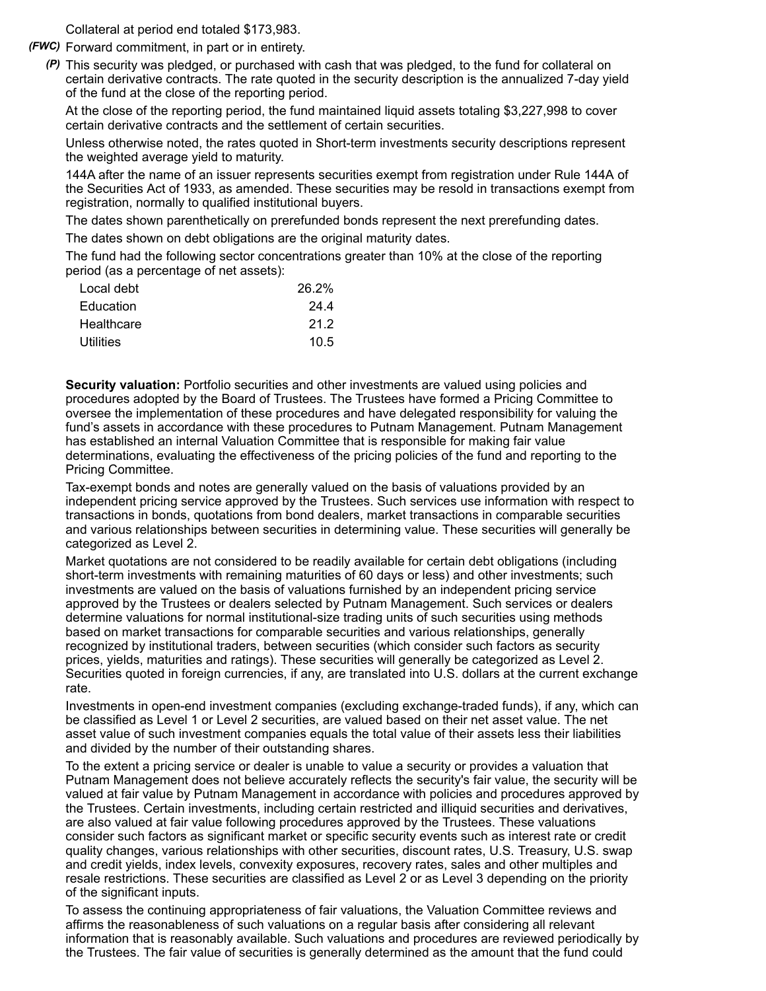Collateral at period end totaled \$173,983.

- *(FWC)* Forward commitment, in part or in entirety.
	- *(P)* This security was pledged, or purchased with cash that was pledged, to the fund for collateral on certain derivative contracts. The rate quoted in the security description is the annualized 7-day yield of the fund at the close of the reporting period.

At the close of the reporting period, the fund maintained liquid assets totaling \$3,227,998 to cover certain derivative contracts and the settlement of certain securities.

Unless otherwise noted, the rates quoted in Short-term investments security descriptions represent the weighted average yield to maturity.

144A after the name of an issuer represents securities exempt from registration under Rule 144A of the Securities Act of 1933, as amended. These securities may be resold in transactions exempt from registration, normally to qualified institutional buyers.

The dates shown parenthetically on prerefunded bonds represent the next prerefunding dates.

The dates shown on debt obligations are the original maturity dates.

The fund had the following sector concentrations greater than 10% at the close of the reporting period (as a percentage of net assets):

| Local debt | 26.2% |
|------------|-------|
| Education  | 24.4  |
| Healthcare | 212   |
| Utilities  | 10.5  |
|            |       |

**Security valuation:** Portfolio securities and other investments are valued using policies and procedures adopted by the Board of Trustees. The Trustees have formed a Pricing Committee to oversee the implementation of these procedures and have delegated responsibility for valuing the fund's assets in accordance with these procedures to Putnam Management. Putnam Management has established an internal Valuation Committee that is responsible for making fair value determinations, evaluating the effectiveness of the pricing policies of the fund and reporting to the Pricing Committee.

Tax-exempt bonds and notes are generally valued on the basis of valuations provided by an independent pricing service approved by the Trustees. Such services use information with respect to transactions in bonds, quotations from bond dealers, market transactions in comparable securities and various relationships between securities in determining value. These securities will generally be categorized as Level 2.

Market quotations are not considered to be readily available for certain debt obligations (including short-term investments with remaining maturities of 60 days or less) and other investments; such investments are valued on the basis of valuations furnished by an independent pricing service approved by the Trustees or dealers selected by Putnam Management. Such services or dealers determine valuations for normal institutional-size trading units of such securities using methods based on market transactions for comparable securities and various relationships, generally recognized by institutional traders, between securities (which consider such factors as security prices, yields, maturities and ratings). These securities will generally be categorized as Level 2. Securities quoted in foreign currencies, if any, are translated into U.S. dollars at the current exchange rate.

Investments in open-end investment companies (excluding exchange-traded funds), if any, which can be classified as Level 1 or Level 2 securities, are valued based on their net asset value. The net asset value of such investment companies equals the total value of their assets less their liabilities and divided by the number of their outstanding shares.

To the extent a pricing service or dealer is unable to value a security or provides a valuation that Putnam Management does not believe accurately reflects the security's fair value, the security will be valued at fair value by Putnam Management in accordance with policies and procedures approved by the Trustees. Certain investments, including certain restricted and illiquid securities and derivatives, are also valued at fair value following procedures approved by the Trustees. These valuations consider such factors as significant market or specific security events such as interest rate or credit quality changes, various relationships with other securities, discount rates, U.S. Treasury, U.S. swap and credit yields, index levels, convexity exposures, recovery rates, sales and other multiples and resale restrictions. These securities are classified as Level 2 or as Level 3 depending on the priority of the significant inputs.

To assess the continuing appropriateness of fair valuations, the Valuation Committee reviews and affirms the reasonableness of such valuations on a regular basis after considering all relevant information that is reasonably available. Such valuations and procedures are reviewed periodically by the Trustees. The fair value of securities is generally determined as the amount that the fund could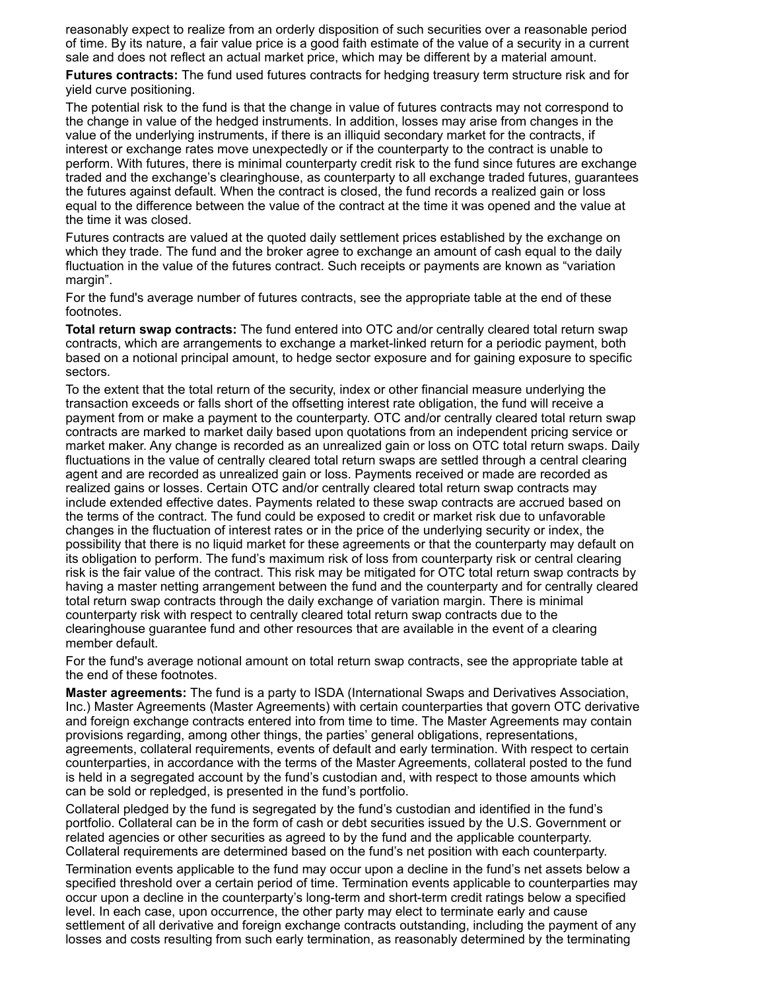reasonably expect to realize from an orderly disposition of such securities over a reasonable period of time. By its nature, a fair value price is a good faith estimate of the value of a security in a current sale and does not reflect an actual market price, which may be different by a material amount.

**Futures contracts:** The fund used futures contracts for hedging treasury term structure risk and for yield curve positioning.

The potential risk to the fund is that the change in value of futures contracts may not correspond to the change in value of the hedged instruments. In addition, losses may arise from changes in the value of the underlying instruments, if there is an illiquid secondary market for the contracts, if interest or exchange rates move unexpectedly or if the counterparty to the contract is unable to perform. With futures, there is minimal counterparty credit risk to the fund since futures are exchange traded and the exchange's clearinghouse, as counterparty to all exchange traded futures, guarantees the futures against default. When the contract is closed, the fund records a realized gain or loss equal to the difference between the value of the contract at the time it was opened and the value at the time it was closed.

Futures contracts are valued at the quoted daily settlement prices established by the exchange on which they trade. The fund and the broker agree to exchange an amount of cash equal to the daily fluctuation in the value of the futures contract. Such receipts or payments are known as "variation margin".

For the fund's average number of futures contracts, see the appropriate table at the end of these footnotes.

**Total return swap contracts:** The fund entered into OTC and/or centrally cleared total return swap contracts, which are arrangements to exchange a market-linked return for a periodic payment, both based on a notional principal amount, to hedge sector exposure and for gaining exposure to specific sectors.

To the extent that the total return of the security, index or other financial measure underlying the transaction exceeds or falls short of the offsetting interest rate obligation, the fund will receive a payment from or make a payment to the counterparty. OTC and/or centrally cleared total return swap contracts are marked to market daily based upon quotations from an independent pricing service or market maker. Any change is recorded as an unrealized gain or loss on OTC total return swaps. Daily fluctuations in the value of centrally cleared total return swaps are settled through a central clearing agent and are recorded as unrealized gain or loss. Payments received or made are recorded as realized gains or losses. Certain OTC and/or centrally cleared total return swap contracts may include extended effective dates. Payments related to these swap contracts are accrued based on the terms of the contract. The fund could be exposed to credit or market risk due to unfavorable changes in the fluctuation of interest rates or in the price of the underlying security or index, the possibility that there is no liquid market for these agreements or that the counterparty may default on its obligation to perform. The fund's maximum risk of loss from counterparty risk or central clearing risk is the fair value of the contract. This risk may be mitigated for OTC total return swap contracts by having a master netting arrangement between the fund and the counterparty and for centrally cleared total return swap contracts through the daily exchange of variation margin. There is minimal counterparty risk with respect to centrally cleared total return swap contracts due to the clearinghouse guarantee fund and other resources that are available in the event of a clearing member default.

For the fund's average notional amount on total return swap contracts, see the appropriate table at the end of these footnotes.

**Master agreements:** The fund is a party to ISDA (International Swaps and Derivatives Association, Inc.) Master Agreements (Master Agreements) with certain counterparties that govern OTC derivative and foreign exchange contracts entered into from time to time. The Master Agreements may contain provisions regarding, among other things, the parties' general obligations, representations, agreements, collateral requirements, events of default and early termination. With respect to certain counterparties, in accordance with the terms of the Master Agreements, collateral posted to the fund is held in a segregated account by the fund's custodian and, with respect to those amounts which can be sold or repledged, is presented in the fund's portfolio.

Collateral pledged by the fund is segregated by the fund's custodian and identified in the fund's portfolio. Collateral can be in the form of cash or debt securities issued by the U.S. Government or related agencies or other securities as agreed to by the fund and the applicable counterparty. Collateral requirements are determined based on the fund's net position with each counterparty.

Termination events applicable to the fund may occur upon a decline in the fund's net assets below a specified threshold over a certain period of time. Termination events applicable to counterparties may occur upon a decline in the counterparty's long-term and short-term credit ratings below a specified level. In each case, upon occurrence, the other party may elect to terminate early and cause settlement of all derivative and foreign exchange contracts outstanding, including the payment of any losses and costs resulting from such early termination, as reasonably determined by the terminating